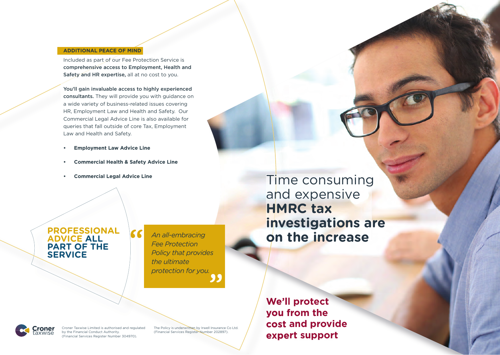#### **ADDITIONAL PEACE OF MIND**

Included as part of our Fee Protection Service is comprehensive access to Employment, Health and Safety and HR expertise, all at no cost to you.

You'll gain invaluable access to highly experienced consultants. They will provide you with guidance on a wide variety of business-related issues covering HR, Employment Law and Health and Safety. Our Commercial Legal Advice Line is also available for queries that fall outside of core Tax, Employment Law and Health and Safety.

- **Employment Law Advice Line**
- **Commercial Health & Safety Advice Line**
- **Commercial Legal Advice Line**

### **PROFESSIONAL ADVICE ALL PART OF THE SERVICE**

*Fee Protection Policy that provides the ultimate protection for you.*

Time consuming and expensive **HMRC tax investigations are on the increase** *An all-embracing* 

ronei

Croner Taxwise Limited is authorised and regulated by the Financial Conduct Authority. (Financial Services Register Number 304970).

The Policy is underwritten by Irwell Insurance Co Ltd. (Financial Services Register Number 202897).

**We'll protect you from the cost and provide expert support**